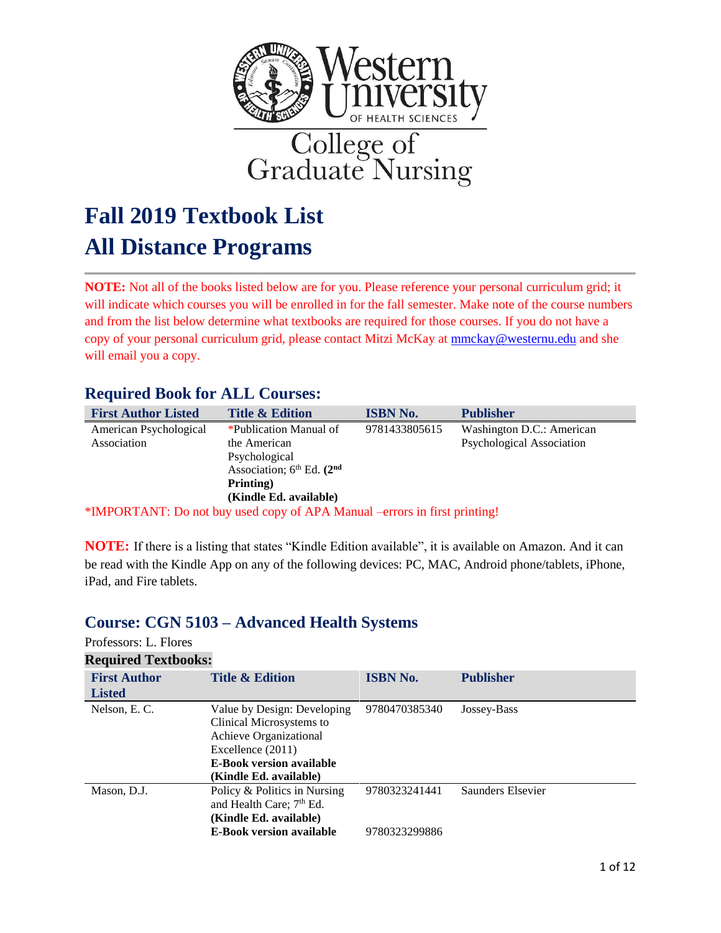

# **Fall 2019 Textbook List All Distance Programs**

**NOTE:** Not all of the books listed below are for you. Please reference your personal curriculum grid; it will indicate which courses you will be enrolled in for the fall semester. Make note of the course numbers and from the list below determine what textbooks are required for those courses. If you do not have a copy of your personal curriculum grid, please contact Mitzi McKay at [mmckay@westernu.edu](mailto:mmckay@westernu.edu) and she will email you a copy.

#### **Required Book for ALL Courses:**

| <b>First Author Listed</b>            | <b>Title &amp; Edition</b>                                                                                                            | <b>ISBN No.</b> | <b>Publisher</b>                                       |
|---------------------------------------|---------------------------------------------------------------------------------------------------------------------------------------|-----------------|--------------------------------------------------------|
| American Psychological<br>Association | *Publication Manual of<br>the American<br>Psychological<br>Association; $6^{th}$ Ed. $(2^{nd}$<br>Printing)<br>(Kindle Ed. available) | 9781433805615   | Washington D.C.: American<br>Psychological Association |

\*IMPORTANT: Do not buy used copy of APA Manual –errors in first printing!

**NOTE:** If there is a listing that states "Kindle Edition available", it is available on Amazon. And it can be read with the Kindle App on any of the following devices: PC, MAC, Android phone/tablets, iPhone, iPad, and Fire tablets.

### **Course: CGN 5103 – Advanced Health Systems**

#### Professors: L. Flores

| <b>Required Textbooks:</b> |                                                                                                                                                                     |                                |                   |
|----------------------------|---------------------------------------------------------------------------------------------------------------------------------------------------------------------|--------------------------------|-------------------|
| <b>First Author</b>        | <b>Title &amp; Edition</b>                                                                                                                                          | <b>ISBN No.</b>                | <b>Publisher</b>  |
| <b>Listed</b>              |                                                                                                                                                                     |                                |                   |
| Nelson, E.C.               | Value by Design: Developing<br>Clinical Microsystems to<br>Achieve Organizational<br>Excellence (2011)<br><b>E-Book version available</b><br>(Kindle Ed. available) | 9780470385340                  | Jossey-Bass       |
| Mason, D.J.                | Policy & Politics in Nursing<br>and Health Care; 7 <sup>th</sup> Ed.<br>(Kindle Ed. available)<br><b>E-Book version available</b>                                   | 9780323241441<br>9780323299886 | Saunders Elsevier |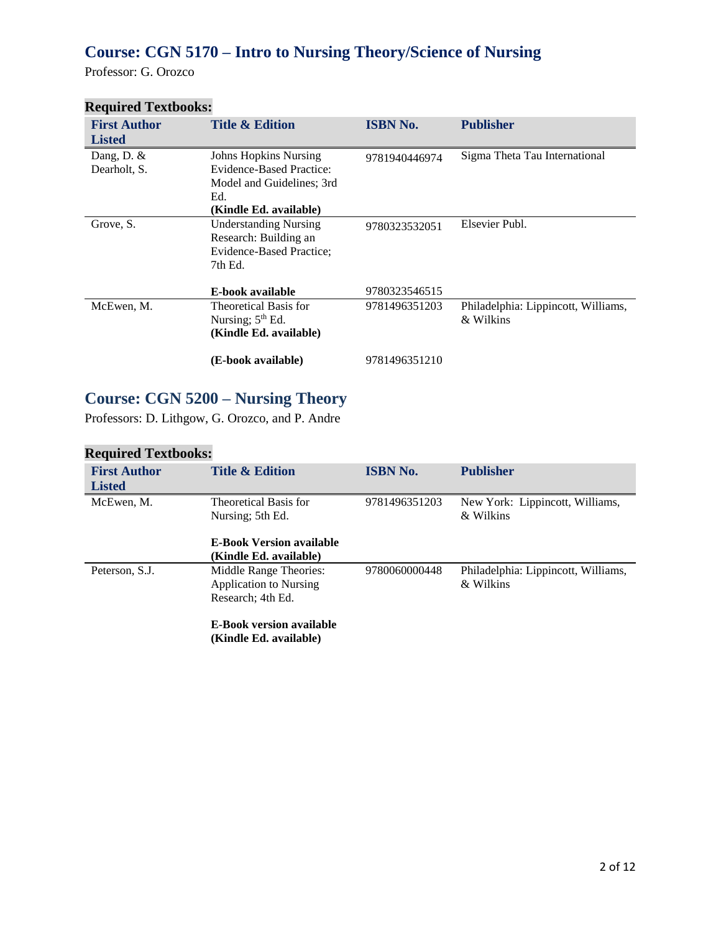## **Course: CGN 5170 – Intro to Nursing Theory/Science of Nursing**

Professor: G. Orozco

| <b>Title &amp; Edition</b>   | <b>ISBN No.</b>                                          | <b>Publisher</b>                    |
|------------------------------|----------------------------------------------------------|-------------------------------------|
|                              |                                                          |                                     |
|                              | 9781940446974                                            | Sigma Theta Tau International       |
|                              |                                                          |                                     |
| Model and Guidelines; 3rd    |                                                          |                                     |
| Ed.                          |                                                          |                                     |
| (Kindle Ed. available)       |                                                          |                                     |
| <b>Understanding Nursing</b> |                                                          | Elsevier Publ.                      |
| Research: Building an        |                                                          |                                     |
| Evidence-Based Practice;     |                                                          |                                     |
| 7th Ed.                      |                                                          |                                     |
|                              |                                                          |                                     |
| E-book available             | 9780323546515                                            |                                     |
| Theoretical Basis for        | 9781496351203                                            | Philadelphia: Lippincott, Williams, |
| Nursing; $5th Ed$ .          |                                                          | & Wilkins                           |
| (Kindle Ed. available)       |                                                          |                                     |
| (E-book available)           | 9781496351210                                            |                                     |
|                              | <b>Johns Hopkins Nursing</b><br>Evidence-Based Practice: | 9780323532051                       |

#### **Required Textbooks:**

## **Course: CGN 5200 – Nursing Theory**

Professors: D. Lithgow, G. Orozco, and P. Andre

| <b>First Author</b><br><b>Listed</b> | <b>Title &amp; Edition</b>                                            | <b>ISBN No.</b> | <b>Publisher</b>                                 |
|--------------------------------------|-----------------------------------------------------------------------|-----------------|--------------------------------------------------|
| McEwen, M.                           | Theoretical Basis for<br>Nursing; 5th Ed.                             | 9781496351203   | New York: Lippincott, Williams,<br>& Wilkins     |
|                                      | <b>E-Book Version available</b><br>(Kindle Ed. available)             |                 |                                                  |
| Peterson, S.J.                       | Middle Range Theories:<br>Application to Nursing<br>Research; 4th Ed. | 9780060000448   | Philadelphia: Lippincott, Williams,<br>& Wilkins |
|                                      | <b>E-Book version available</b><br>(Kindle Ed. available)             |                 |                                                  |

#### **Required Textbooks:**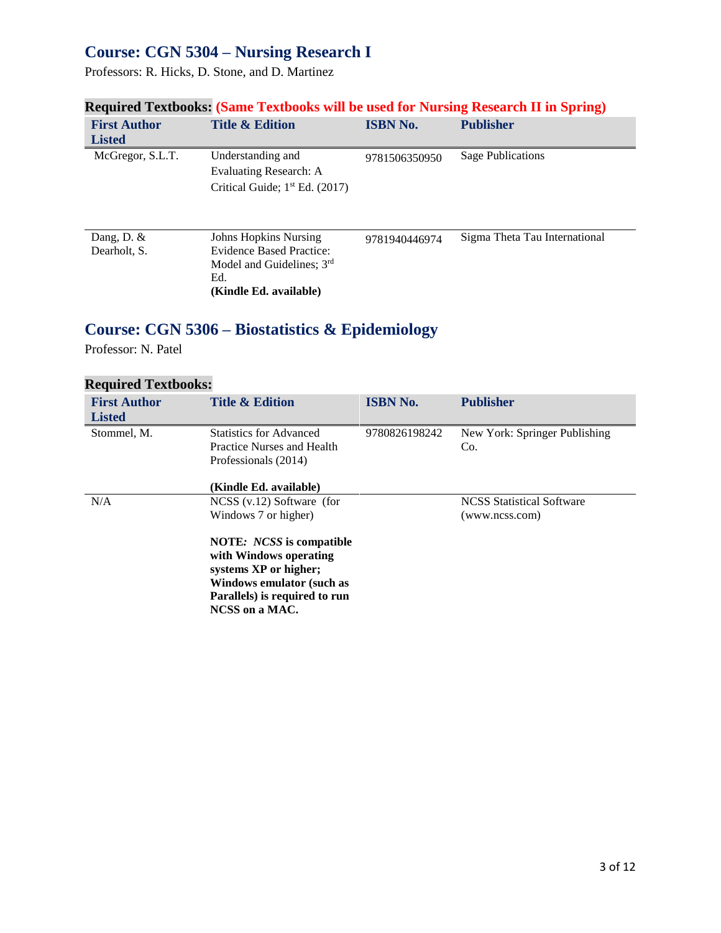### **Course: CGN 5304 – Nursing Research I**

Professors: R. Hicks, D. Stone, and D. Martinez

|                                      |                                                                                                                               |                 | $\sim$ 0.000 $\sim$ 0.000 $\sim$ 0.000 $\sim$ 0.000 $\sim$ 0.000 $\sim$ 0.000 $\sim$ 0.000 $\sim$ 0.000 $\sim$ 0.000 $\sim$ 0.000 $\sim$ 0.000 $\sim$ 0.000 $\sim$ 0.000 $\sim$ 0.000 $\sim$ 0.000 $\sim$ 0.000 $\sim$ 0.000 $\sim$ 0.000 $\sim$ 0.000 $\sim$ 0.000 |
|--------------------------------------|-------------------------------------------------------------------------------------------------------------------------------|-----------------|---------------------------------------------------------------------------------------------------------------------------------------------------------------------------------------------------------------------------------------------------------------------|
| <b>First Author</b><br><b>Listed</b> | <b>Title &amp; Edition</b>                                                                                                    | <b>ISBN No.</b> | <b>Publisher</b>                                                                                                                                                                                                                                                    |
| McGregor, S.L.T.                     | Understanding and<br>Evaluating Research: A<br>Critical Guide; $1st Ed. (2017)$                                               | 9781506350950   | <b>Sage Publications</b>                                                                                                                                                                                                                                            |
| Dang, D. $&$<br>Dearholt, S.         | <b>Johns Hopkins Nursing</b><br><b>Evidence Based Practice:</b><br>Model and Guidelines; 3rd<br>Ed.<br>(Kindle Ed. available) | 9781940446974   | Sigma Theta Tau International                                                                                                                                                                                                                                       |

### **Required Textbooks: (Same Textbooks will be used for Nursing Research II in Spring)**

## **Course: CGN 5306 – Biostatistics & Epidemiology**

Professor: N. Patel

| <b>Required Textbooks:</b>           |                                                                                                                                                                                                                                  |                 |                                                    |
|--------------------------------------|----------------------------------------------------------------------------------------------------------------------------------------------------------------------------------------------------------------------------------|-----------------|----------------------------------------------------|
| <b>First Author</b><br><b>Listed</b> | <b>Title &amp; Edition</b>                                                                                                                                                                                                       | <b>ISBN No.</b> | <b>Publisher</b>                                   |
| Stommel, M.                          | <b>Statistics for Advanced</b><br>Practice Nurses and Health<br>Professionals (2014)<br>(Kindle Ed. available)                                                                                                                   | 9780826198242   | New York: Springer Publishing<br>Co.               |
| N/A                                  | $NCSS$ (v.12) Software (for<br>Windows 7 or higher)<br><b>NOTE:</b> <i>NCSS</i> is compatible<br>with Windows operating<br>systems XP or higher;<br>Windows emulator (such as<br>Parallels) is required to run<br>NCSS on a MAC. |                 | <b>NCSS</b> Statistical Software<br>(www.ncss.com) |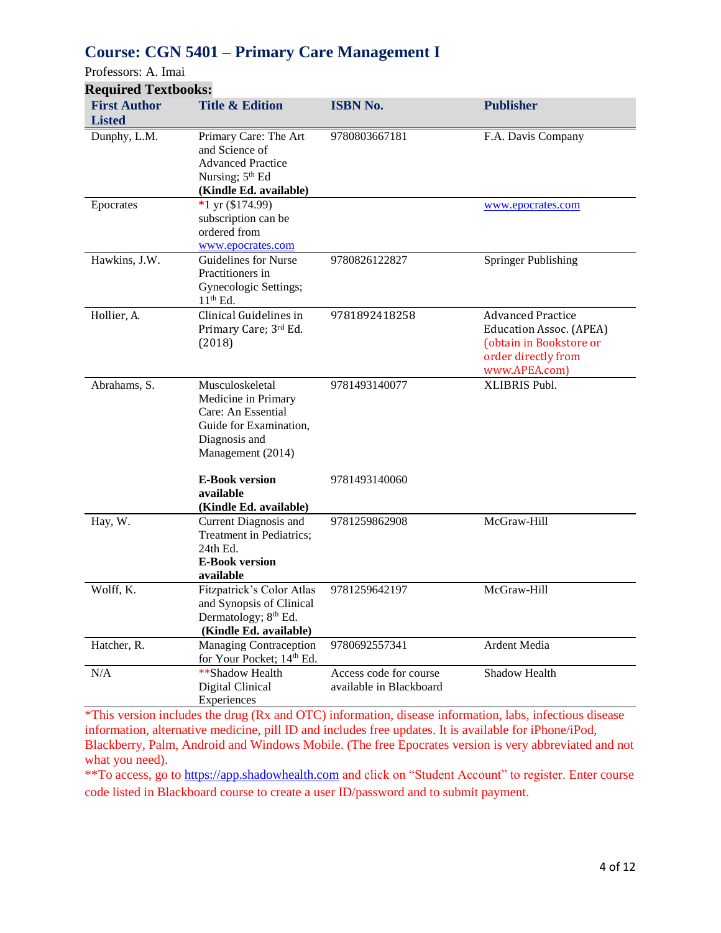### **Course: CGN 5401 – Primary Care Management I**

Professors: A. Imai

| <b>Required Textbooks:</b>           |                                                                                                                              |                                                   |                                                                                                                               |
|--------------------------------------|------------------------------------------------------------------------------------------------------------------------------|---------------------------------------------------|-------------------------------------------------------------------------------------------------------------------------------|
| <b>First Author</b><br><b>Listed</b> | <b>Title &amp; Edition</b>                                                                                                   | <b>ISBN No.</b>                                   | <b>Publisher</b>                                                                                                              |
| Dunphy, L.M.                         | Primary Care: The Art<br>and Science of<br><b>Advanced Practice</b><br>Nursing; 5 <sup>th</sup> Ed<br>(Kindle Ed. available) | 9780803667181                                     | F.A. Davis Company                                                                                                            |
| Epocrates                            | *1 yr $(\$174.99)$<br>subscription can be<br>ordered from<br>www.epocrates.com                                               |                                                   | www.epocrates.com                                                                                                             |
| Hawkins, J.W.                        | Guidelines for Nurse<br>Practitioners in<br>Gynecologic Settings;<br>$11th$ Ed.                                              | 9780826122827                                     | <b>Springer Publishing</b>                                                                                                    |
| Hollier, A.                          | Clinical Guidelines in<br>Primary Care; 3rd Ed.<br>(2018)                                                                    | 9781892418258                                     | <b>Advanced Practice</b><br><b>Education Assoc.</b> (APEA)<br>(obtain in Bookstore or<br>order directly from<br>www.APEA.com) |
| Abrahams, S.                         | Musculoskeletal<br>Medicine in Primary<br>Care: An Essential<br>Guide for Examination,<br>Diagnosis and<br>Management (2014) | 9781493140077                                     | XLIBRIS Publ.                                                                                                                 |
|                                      | <b>E-Book version</b><br>available<br>(Kindle Ed. available)                                                                 | 9781493140060                                     |                                                                                                                               |
| Hay, W.                              | Current Diagnosis and<br>Treatment in Pediatrics;<br>24th Ed.<br><b>E-Book version</b><br>available                          | 9781259862908                                     | McGraw-Hill                                                                                                                   |
| Wolff, K.                            | Fitzpatrick's Color Atlas<br>and Synopsis of Clinical<br>Dermatology; 8 <sup>th</sup> Ed.<br>(Kindle Ed. available)          | 9781259642197                                     | McGraw-Hill                                                                                                                   |
| Hatcher, R.                          | <b>Managing Contraception</b><br>for Your Pocket; 14th Ed.                                                                   | 9780692557341                                     | Ardent Media                                                                                                                  |
| N/A                                  | **Shadow Health<br>Digital Clinical<br>Experiences                                                                           | Access code for course<br>available in Blackboard | Shadow Health                                                                                                                 |

\*This version includes the drug (Rx and OTC) information, disease information, labs, infectious disease information, alternative medicine, pill ID and includes free updates. It is available for iPhone/iPod, Blackberry, Palm, Android and Windows Mobile. (The free Epocrates version is very abbreviated and not what you need).

\*\*To access, go to [https://app.shadowhealth.com](https://app.shadowhealth.com/) and click on "Student Account" to register. Enter course code listed in Blackboard course to create a user ID/password and to submit payment.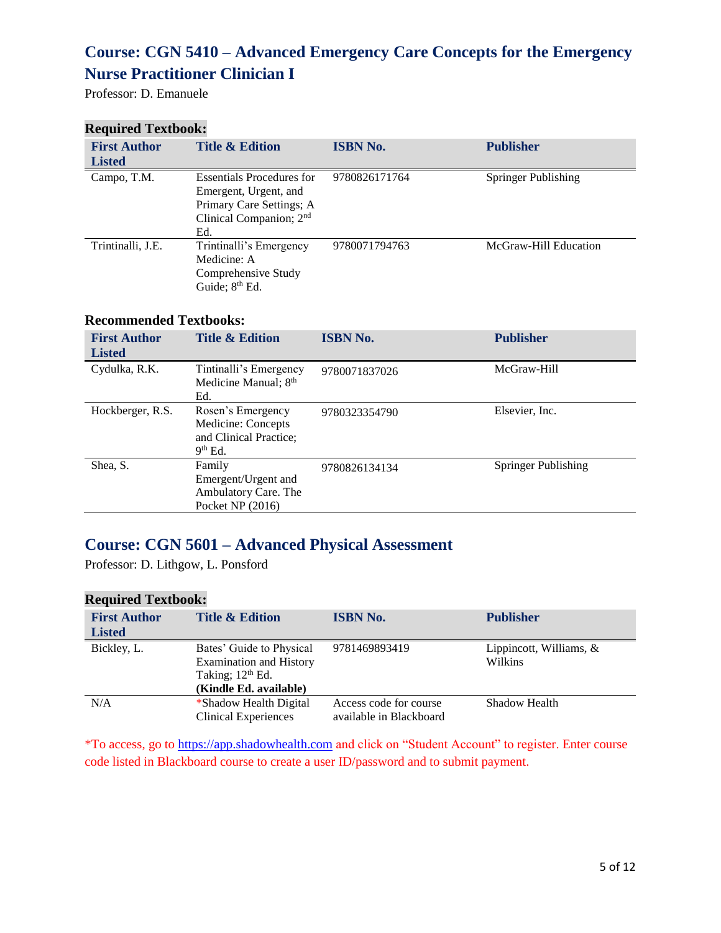### **Course: CGN 5410 – Advanced Emergency Care Concepts for the Emergency Nurse Practitioner Clinician I**

Professor: D. Emanuele

#### **Required Textbook:**

| <b>First Author</b><br><b>Listed</b> | <b>Title &amp; Edition</b>                                                                                                          | <b>ISBN No.</b> | <b>Publisher</b>      |
|--------------------------------------|-------------------------------------------------------------------------------------------------------------------------------------|-----------------|-----------------------|
| Campo, T.M.                          | <b>Essentials Procedures for</b><br>Emergent, Urgent, and<br>Primary Care Settings; A<br>Clinical Companion; 2 <sup>nd</sup><br>Ed. | 9780826171764   | Springer Publishing   |
| Trintinalli, J.E.                    | Trintinalli's Emergency<br>Medicine: A<br>Comprehensive Study<br>Guide; 8 <sup>th</sup> Ed.                                         | 9780071794763   | McGraw-Hill Education |

#### **Recommended Textbooks:**

| <b>First Author</b><br><b>Listed</b> | <b>Title &amp; Edition</b>                                                     | <b>ISBN No.</b> | <b>Publisher</b>    |
|--------------------------------------|--------------------------------------------------------------------------------|-----------------|---------------------|
| Cydulka, R.K.                        | Tintinalli's Emergency<br>Medicine Manual; 8 <sup>th</sup><br>Ed.              | 9780071837026   | McGraw-Hill         |
| Hockberger, R.S.                     | Rosen's Emergency<br>Medicine: Concepts<br>and Clinical Practice;<br>$9th$ Ed. | 9780323354790   | Elsevier, Inc.      |
| Shea, S.                             | Family<br>Emergent/Urgent and<br>Ambulatory Care. The<br>Pocket NP $(2016)$    | 9780826134134   | Springer Publishing |

### **Course: CGN 5601 – Advanced Physical Assessment**

Professor: D. Lithgow, L. Ponsford

#### **Required Textbook:**

| <b>First Author</b><br><b>Listed</b> | <b>Title &amp; Edition</b>                                                                                 | <b>ISBN No.</b>                                   | <b>Publisher</b>                     |
|--------------------------------------|------------------------------------------------------------------------------------------------------------|---------------------------------------------------|--------------------------------------|
| Bickley, L.                          | Bates' Guide to Physical<br><b>Examination and History</b><br>Taking; $12th$ Ed.<br>(Kindle Ed. available) | 9781469893419                                     | Lippincott, Williams, $&$<br>Wilkins |
| N/A                                  | *Shadow Health Digital<br><b>Clinical Experiences</b>                                                      | Access code for course<br>available in Blackboard | Shadow Health                        |

\*To access, go to [https://app.shadowhealth.com](https://app.shadowhealth.com/) and click on "Student Account" to register. Enter course code listed in Blackboard course to create a user ID/password and to submit payment.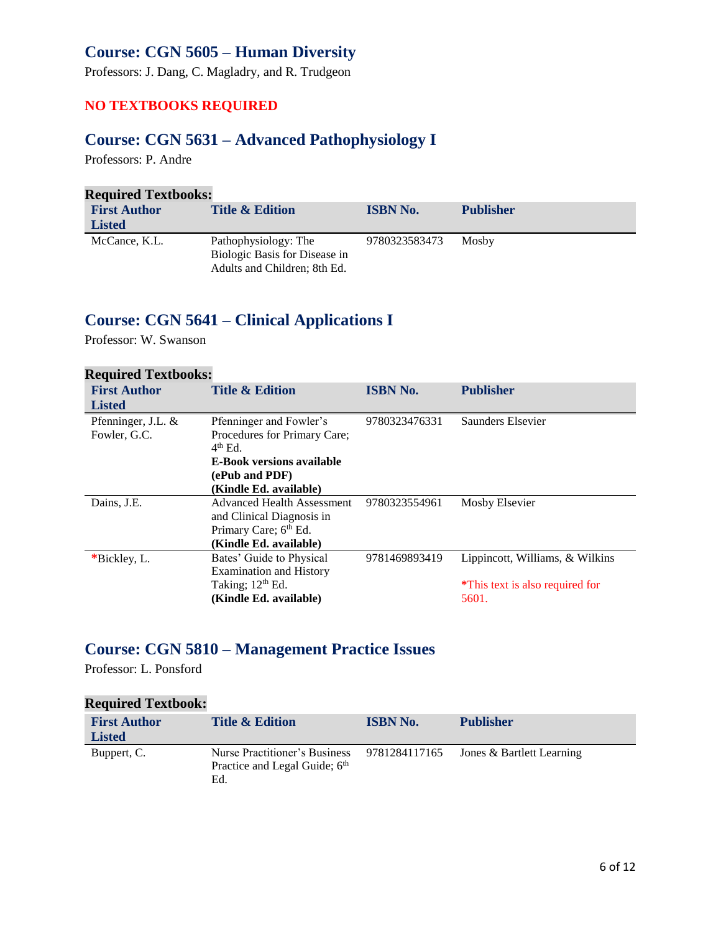### **Course: CGN 5605 – Human Diversity**

Professors: J. Dang, C. Magladry, and R. Trudgeon

#### **NO TEXTBOOKS REQUIRED**

### **Course: CGN 5631 – Advanced Pathophysiology I**

Professors: P. Andre

| <b>Required Textbooks:</b> |                                                                                       |                 |                  |
|----------------------------|---------------------------------------------------------------------------------------|-----------------|------------------|
| <b>First Author</b>        | <b>Title &amp; Edition</b>                                                            | <b>ISBN No.</b> | <b>Publisher</b> |
| <b>Listed</b>              |                                                                                       |                 |                  |
| McCance, K.L.              | Pathophysiology: The<br>Biologic Basis for Disease in<br>Adults and Children; 8th Ed. | 9780323583473   | Mosby            |

### **Course: CGN 5641 – Clinical Applications I**

Professor: W. Swanson

| <b>Required Textbooks:</b> |                                   |                 |                                 |
|----------------------------|-----------------------------------|-----------------|---------------------------------|
| <b>First Author</b>        | <b>Title &amp; Edition</b>        | <b>ISBN No.</b> | <b>Publisher</b>                |
| <b>Listed</b>              |                                   |                 |                                 |
| Pfenninger, J.L. &         | Pfenninger and Fowler's           | 9780323476331   | Saunders Elsevier               |
| Fowler, G.C.               | Procedures for Primary Care;      |                 |                                 |
|                            | $4th$ Ed.                         |                 |                                 |
|                            | <b>E-Book versions available</b>  |                 |                                 |
|                            | (ePub and PDF)                    |                 |                                 |
|                            | (Kindle Ed. available)            |                 |                                 |
| Dains, J.E.                | <b>Advanced Health Assessment</b> | 9780323554961   | Mosby Elsevier                  |
|                            | and Clinical Diagnosis in         |                 |                                 |
|                            | Primary Care; 6th Ed.             |                 |                                 |
|                            | (Kindle Ed. available)            |                 |                                 |
| *Bickley, L.               | Bates' Guide to Physical          | 9781469893419   | Lippincott, Williams, & Wilkins |
|                            | <b>Examination and History</b>    |                 |                                 |
|                            | Taking; 12 <sup>th</sup> Ed.      |                 | *This text is also required for |
|                            | (Kindle Ed. available)            |                 | 5601.                           |

### **Course: CGN 5810 – Management Practice Issues**

Professor: L. Ponsford

#### **Required Textbook:**

| <b>First Author</b><br><b>Listed</b> | <b>Title &amp; Edition</b>                                            | <b>ISBN No.</b> | <b>Publisher</b>                        |
|--------------------------------------|-----------------------------------------------------------------------|-----------------|-----------------------------------------|
| Buppert, C.                          | Nurse Practitioner's Business<br>Practice and Legal Guide; 6th<br>Ed. |                 | 9781284117165 Jones & Bartlett Learning |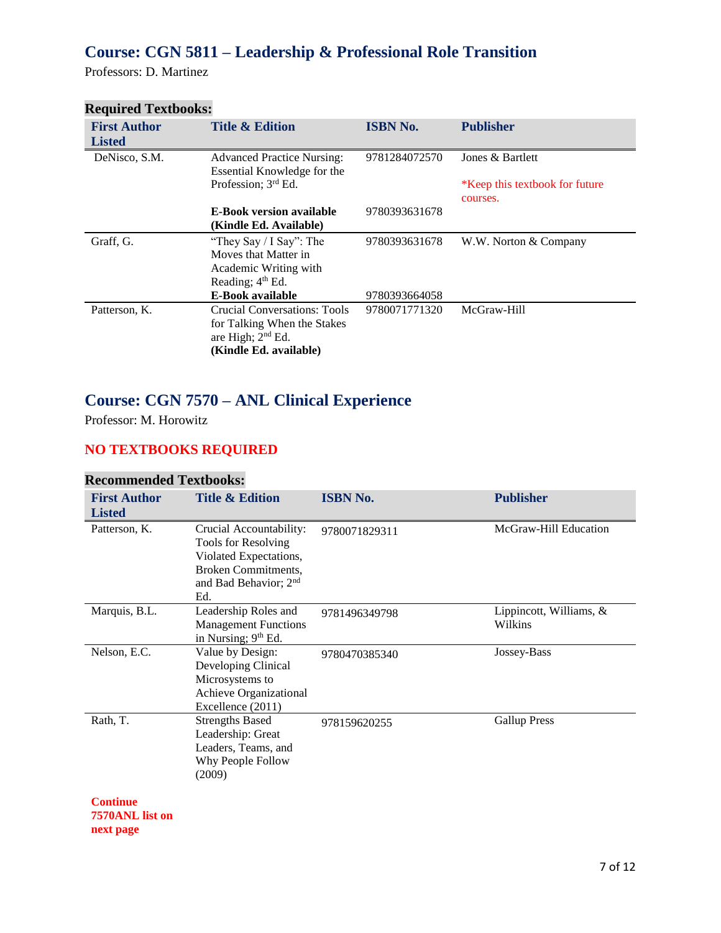### **Course: CGN 5811 – Leadership & Professional Role Transition**

Professors: D. Martinez

| Required Textbooks.                  |                                                                                                                     |                 |                                            |
|--------------------------------------|---------------------------------------------------------------------------------------------------------------------|-----------------|--------------------------------------------|
| <b>First Author</b><br><b>Listed</b> | <b>Title &amp; Edition</b>                                                                                          | <b>ISBN No.</b> | <b>Publisher</b>                           |
| DeNisco, S.M.                        | <b>Advanced Practice Nursing:</b><br>Essential Knowledge for the                                                    | 9781284072570   | Jones & Bartlett                           |
|                                      | Profession; 3rd Ed.                                                                                                 |                 | *Keep this textbook for future<br>courses. |
|                                      | <b>E-Book version available</b><br>(Kindle Ed. Available)                                                           | 9780393631678   |                                            |
| Graff, G.                            | "They Say / I Say": The<br>Moves that Matter in<br>Academic Writing with<br>Reading; 4 <sup>th</sup> Ed.            | 9780393631678   | W.W. Norton & Company                      |
|                                      | E-Book available                                                                                                    | 9780393664058   |                                            |
| Patterson, K.                        | <b>Crucial Conversations: Tools</b><br>for Talking When the Stakes<br>are High; $2nd$ Ed.<br>(Kindle Ed. available) | 9780071771320   | McGraw-Hill                                |

### **Required Textbooks:**

### **Course: CGN 7570 – ANL Clinical Experience**

Professor: M. Horowitz

## **NO TEXTBOOKS REQUIRED**

#### **Recommended Textbooks:**

| <b>First Author</b><br><b>Listed</b> | <b>Title &amp; Edition</b>                                                                                                                         | <b>ISBN No.</b> | <b>Publisher</b>                   |
|--------------------------------------|----------------------------------------------------------------------------------------------------------------------------------------------------|-----------------|------------------------------------|
| Patterson, K.                        | Crucial Accountability:<br>Tools for Resolving<br>Violated Expectations,<br><b>Broken Commitments,</b><br>and Bad Behavior; 2 <sup>nd</sup><br>Ed. | 9780071829311   | McGraw-Hill Education              |
| Marquis, B.L.                        | Leadership Roles and<br><b>Management Functions</b><br>in Nursing; 9 <sup>th</sup> Ed.                                                             | 9781496349798   | Lippincott, Williams, &<br>Wilkins |
| Nelson, E.C.                         | Value by Design:<br>Developing Clinical<br>Microsystems to<br>Achieve Organizational<br>Excellence (2011)                                          | 9780470385340   | Jossey-Bass                        |
| Rath, T.                             | <b>Strengths Based</b><br>Leadership: Great<br>Leaders, Teams, and<br>Why People Follow<br>(2009)                                                  | 978159620255    | <b>Gallup Press</b>                |
| <b>Continue</b><br>7570ANL list on   |                                                                                                                                                    |                 |                                    |

#### **next page**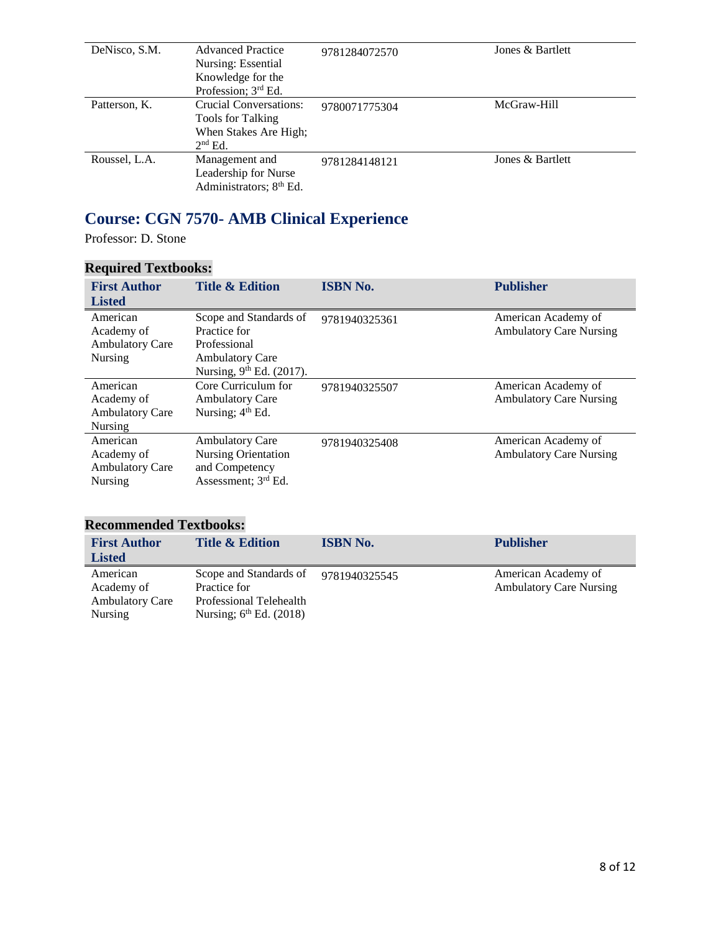| DeNisco, S.M. | <b>Advanced Practice</b><br>Nursing: Essential<br>Knowledge for the<br>Profession; 3rd Ed. | 9781284072570 | Jones & Bartlett |
|---------------|--------------------------------------------------------------------------------------------|---------------|------------------|
| Patterson, K. | Crucial Conversations:<br>Tools for Talking<br>When Stakes Are High;<br>$2nd$ Ed.          | 9780071775304 | McGraw-Hill      |
| Roussel, L.A. | Management and<br>Leadership for Nurse<br>Administrators; 8 <sup>th</sup> Ed.              | 9781284148121 | Jones & Bartlett |

## **Course: CGN 7570- AMB Clinical Experience**

Professor: D. Stone

### **Required Textbooks:**

| <b>First Author</b><br><b>Listed</b>                               | <b>Title &amp; Edition</b>                                                                                               | <b>ISBN No.</b> | <b>Publisher</b>                                      |
|--------------------------------------------------------------------|--------------------------------------------------------------------------------------------------------------------------|-----------------|-------------------------------------------------------|
| American<br>Academy of<br><b>Ambulatory Care</b><br><b>Nursing</b> | Scope and Standards of<br>Practice for<br>Professional<br><b>Ambulatory Care</b><br>Nursing, 9 <sup>th</sup> Ed. (2017). | 9781940325361   | American Academy of<br><b>Ambulatory Care Nursing</b> |
| American<br>Academy of<br><b>Ambulatory Care</b><br><b>Nursing</b> | Core Curriculum for<br><b>Ambulatory Care</b><br>Nursing; 4 <sup>th</sup> Ed.                                            | 9781940325507   | American Academy of<br><b>Ambulatory Care Nursing</b> |
| American<br>Academy of<br><b>Ambulatory Care</b><br>Nursing        | <b>Ambulatory Care</b><br><b>Nursing Orientation</b><br>and Competency<br>Assessment; 3 <sup>rd</sup> Ed.                | 9781940325408   | American Academy of<br><b>Ambulatory Care Nursing</b> |

#### **Recommended Textbooks:**

| <b>First Author</b>    | <b>Title &amp; Edition</b> | <b>ISBN No.</b> | <b>Publisher</b>               |
|------------------------|----------------------------|-----------------|--------------------------------|
| <b>Listed</b>          |                            |                 |                                |
| American               | Scope and Standards of     | 9781940325545   | American Academy of            |
| Academy of             | Practice for               |                 | <b>Ambulatory Care Nursing</b> |
| <b>Ambulatory Care</b> | Professional Telehealth    |                 |                                |
| Nursing                | Nursing; $6th$ Ed. (2018)  |                 |                                |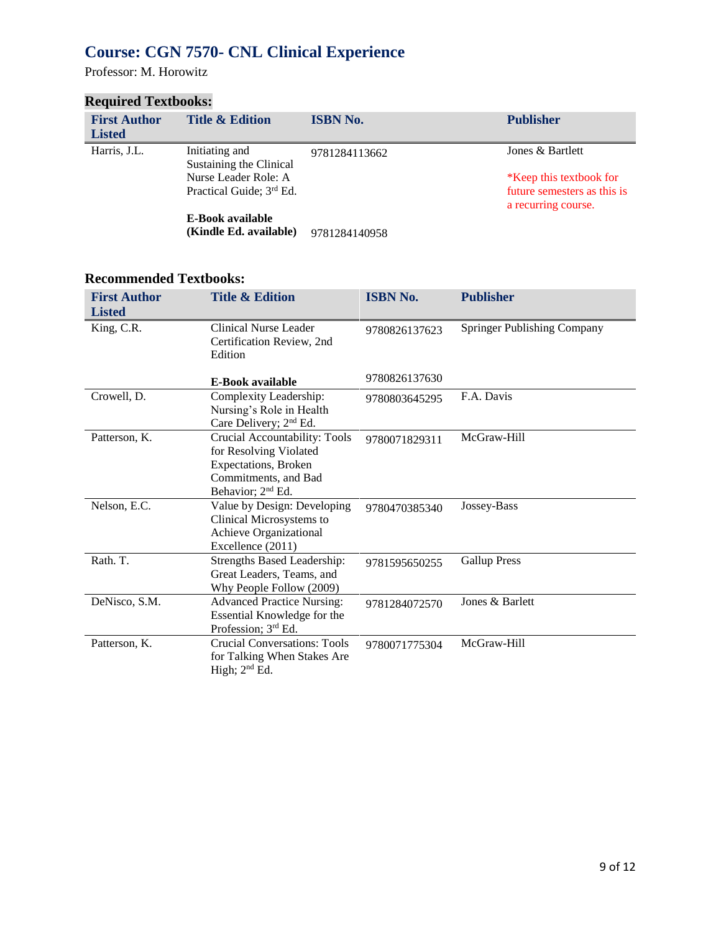## **Course: CGN 7570- CNL Clinical Experience**

Professor: M. Horowitz

#### **Required Textbooks:**

| <b>First Author</b><br><b>Listed</b> | <b>Title &amp; Edition</b>                                   | <b>ISBN No.</b> | <b>Publisher</b>                                                              |
|--------------------------------------|--------------------------------------------------------------|-----------------|-------------------------------------------------------------------------------|
| Harris, J.L.                         | Initiating and<br>Sustaining the Clinical                    | 9781284113662   | Jones & Bartlett                                                              |
|                                      | Nurse Leader Role: A<br>Practical Guide; 3 <sup>rd</sup> Ed. |                 | *Keep this textbook for<br>future semesters as this is<br>a recurring course. |
|                                      | E-Book available<br>(Kindle Ed. available)                   | 9781284140958   |                                                                               |

#### **Recommended Textbooks:**

| <b>First Author</b><br><b>Listed</b> | <b>Title &amp; Edition</b>                                                                                                               | <b>ISBN No.</b> | <b>Publisher</b>            |
|--------------------------------------|------------------------------------------------------------------------------------------------------------------------------------------|-----------------|-----------------------------|
| King, C.R.                           | Clinical Nurse Leader<br>Certification Review, 2nd<br>Edition                                                                            | 9780826137623   | Springer Publishing Company |
|                                      | <b>E-Book available</b>                                                                                                                  | 9780826137630   |                             |
| Crowell, D.                          | Complexity Leadership:<br>Nursing's Role in Health<br>Care Delivery; 2 <sup>nd</sup> Ed.                                                 | 9780803645295   | F.A. Davis                  |
| Patterson, K.                        | Crucial Accountability: Tools<br>for Resolving Violated<br>Expectations, Broken<br>Commitments, and Bad<br>Behavior; 2 <sup>nd</sup> Ed. | 9780071829311   | McGraw-Hill                 |
| Nelson, E.C.                         | Value by Design: Developing<br>Clinical Microsystems to<br>Achieve Organizational<br>Excellence (2011)                                   | 9780470385340   | Jossey-Bass                 |
| Rath. T.                             | <b>Strengths Based Leadership:</b><br>Great Leaders, Teams, and<br>Why People Follow (2009)                                              | 9781595650255   | <b>Gallup Press</b>         |
| DeNisco, S.M.                        | <b>Advanced Practice Nursing:</b><br>Essential Knowledge for the<br>Profession; 3rd Ed.                                                  | 9781284072570   | Jones & Barlett             |
| Patterson, K.                        | <b>Crucial Conversations: Tools</b><br>for Talking When Stakes Are<br>High; $2nd Ed$ .                                                   | 9780071775304   | McGraw-Hill                 |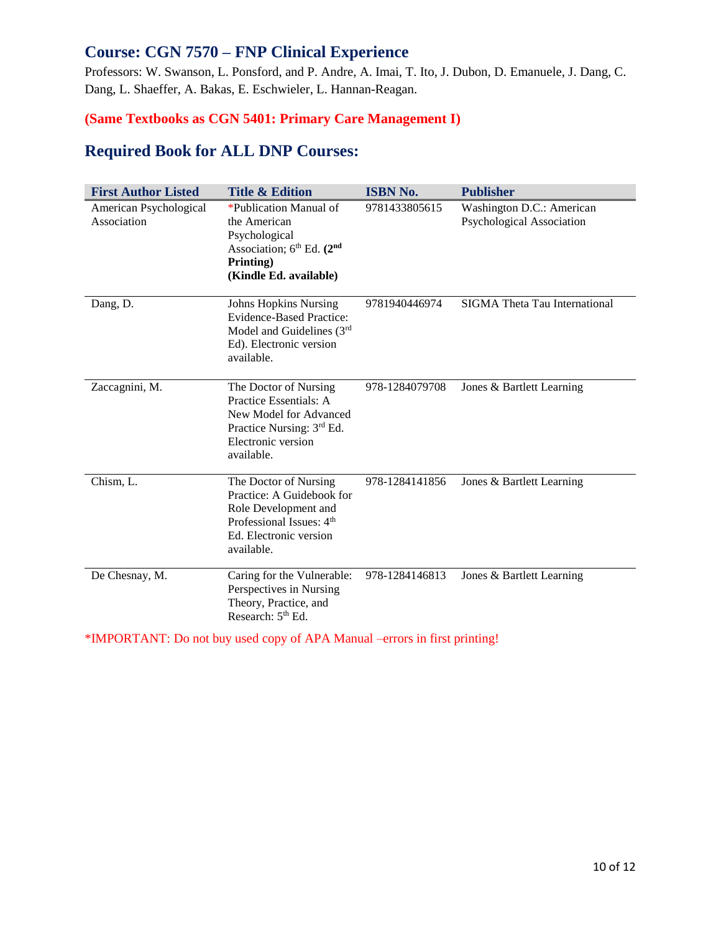#### **Course: CGN 7570 – FNP Clinical Experience**

Professors: W. Swanson, L. Ponsford, and P. Andre, A. Imai, T. Ito, J. Dubon, D. Emanuele, J. Dang, C. Dang, L. Shaeffer, A. Bakas, E. Eschwieler, L. Hannan-Reagan.

#### **(Same Textbooks as CGN 5401: Primary Care Management I)**

#### **Required Book for ALL DNP Courses:**

| <b>First Author Listed</b>            | <b>Title &amp; Edition</b>                                                                                                                                 | <b>ISBN No.</b> | <b>Publisher</b>                                       |
|---------------------------------------|------------------------------------------------------------------------------------------------------------------------------------------------------------|-----------------|--------------------------------------------------------|
| American Psychological<br>Association | *Publication Manual of<br>the American<br>Psychological<br>Association; $6th$ Ed. $(2nd$<br>Printing)<br>(Kindle Ed. available)                            | 9781433805615   | Washington D.C.: American<br>Psychological Association |
| Dang, D.                              | <b>Johns Hopkins Nursing</b><br><b>Evidence-Based Practice:</b><br>Model and Guidelines $(3rd)$<br>Ed). Electronic version<br>available.                   | 9781940446974   | <b>SIGMA</b> Theta Tau International                   |
| Zaccagnini, M.                        | The Doctor of Nursing<br>Practice Essentials: A<br>New Model for Advanced<br>Practice Nursing: 3rd Ed.<br>Electronic version<br>available.                 | 978-1284079708  | Jones & Bartlett Learning                              |
| Chism, L.                             | The Doctor of Nursing<br>Practice: A Guidebook for<br>Role Development and<br>Professional Issues: 4 <sup>th</sup><br>Ed. Electronic version<br>available. | 978-1284141856  | Jones & Bartlett Learning                              |
| De Chesnay, M.                        | Caring for the Vulnerable:<br>Perspectives in Nursing<br>Theory, Practice, and<br>Research: 5 <sup>th</sup> Ed.                                            | 978-1284146813  | Jones & Bartlett Learning                              |

\*IMPORTANT: Do not buy used copy of APA Manual –errors in first printing!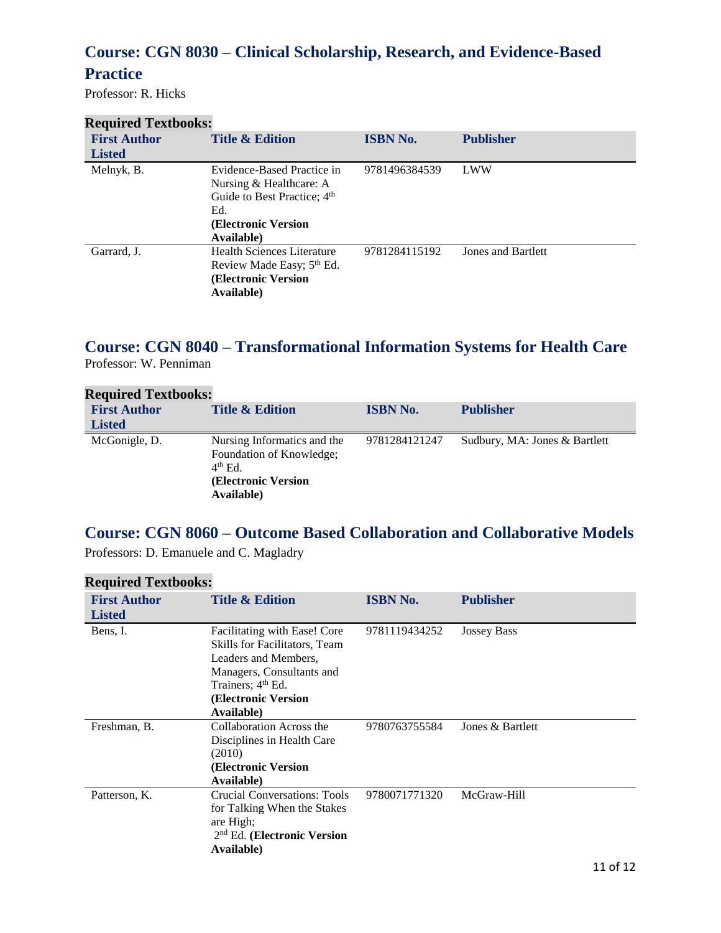### **Course: CGN 8030 – Clinical Scholarship, Research, and Evidence-Based**

### **Practice**

Professor: R. Hicks

| <b>Required Textbooks:</b> |                                                                                                                                               |                 |                    |
|----------------------------|-----------------------------------------------------------------------------------------------------------------------------------------------|-----------------|--------------------|
| <b>First Author</b>        | <b>Title &amp; Edition</b>                                                                                                                    | <b>ISBN No.</b> | <b>Publisher</b>   |
| <b>Listed</b>              |                                                                                                                                               |                 |                    |
| Melnyk, B.                 | Evidence-Based Practice in<br>Nursing & Healthcare: A<br>Guide to Best Practice; 4 <sup>th</sup><br>Ed.<br>(Electronic Version)<br>Available) | 9781496384539   | LWW                |
| Garrard, J.                | Health Sciences Literature<br>Review Made Easy; 5 <sup>th</sup> Ed.<br>(Electronic Version)<br>Available)                                     | 9781284115192   | Jones and Bartlett |

## **Course: CGN 8040 – Transformational Information Systems for Health Care**

Professor: W. Penniman

| <b>Required Textbooks:</b> |                                                                                                           |                 |                               |
|----------------------------|-----------------------------------------------------------------------------------------------------------|-----------------|-------------------------------|
| <b>First Author</b>        | <b>Title &amp; Edition</b>                                                                                | <b>ISBN No.</b> | <b>Publisher</b>              |
| <b>Listed</b>              |                                                                                                           |                 |                               |
| McGonigle, D.              | Nursing Informatics and the<br>Foundation of Knowledge;<br>$4th$ Ed.<br>(Electronic Version<br>Available) | 9781284121247   | Sudbury, MA: Jones & Bartlett |

### **Course: CGN 8060 – Outcome Based Collaboration and Collaborative Models**

Professors: D. Emanuele and C. Magladry

| <b>First Author</b> | <b>Title &amp; Edition</b>          | <b>ISBN No.</b> | <b>Publisher</b>   |
|---------------------|-------------------------------------|-----------------|--------------------|
| <b>Listed</b>       |                                     |                 |                    |
| Bens, I.            | Facilitating with Ease! Core        | 9781119434252   | <b>Jossey Bass</b> |
|                     | Skills for Facilitators, Team       |                 |                    |
|                     | Leaders and Members,                |                 |                    |
|                     | Managers, Consultants and           |                 |                    |
|                     | Trainers; 4 <sup>th</sup> Ed.       |                 |                    |
|                     | (Electronic Version)                |                 |                    |
|                     | Available)                          |                 |                    |
| Freshman, B.        | Collaboration Across the            | 9780763755584   | Jones & Bartlett   |
|                     | Disciplines in Health Care          |                 |                    |
|                     | (2010)                              |                 |                    |
|                     | (Electronic Version                 |                 |                    |
|                     | Available)                          |                 |                    |
| Patterson, K.       | <b>Crucial Conversations: Tools</b> | 9780071771320   | McGraw-Hill        |
|                     | for Talking When the Stakes         |                 |                    |
|                     | are High;                           |                 |                    |
|                     | $2nd$ Ed. (Electronic Version       |                 |                    |
|                     | Available)                          |                 |                    |

### **Required Textbooks:**